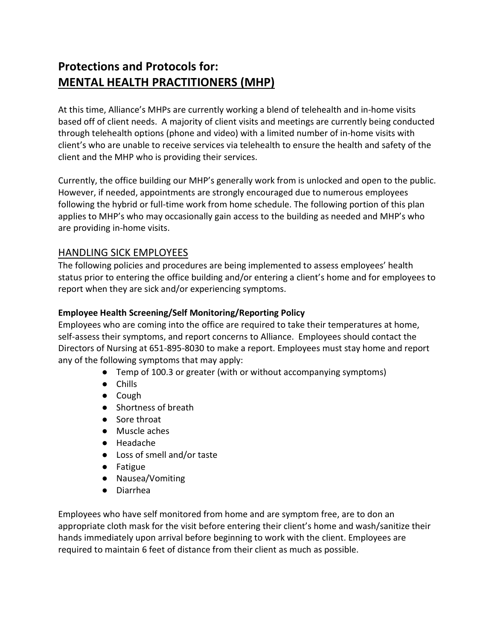# Protections and Protocols for: MENTAL HEALTH PRACTITIONERS (MHP)

At this time, Alliance's MHPs are currently working a blend of telehealth and in-home visits based off of client needs. A majority of client visits and meetings are currently being conducted through telehealth options (phone and video) with a limited number of in-home visits with client's who are unable to receive services via telehealth to ensure the health and safety of the client and the MHP who is providing their services.

Currently, the office building our MHP's generally work from is unlocked and open to the public. However, if needed, appointments are strongly encouraged due to numerous employees following the hybrid or full-time work from home schedule. The following portion of this plan applies to MHP's who may occasionally gain access to the building as needed and MHP's who are providing in-home visits.

## HANDLING SICK EMPLOYEES

The following policies and procedures are being implemented to assess employees' health status prior to entering the office building and/or entering a client's home and for employees to report when they are sick and/or experiencing symptoms.

#### Employee Health Screening/Self Monitoring/Reporting Policy

Employees who are coming into the office are required to take their temperatures at home, self-assess their symptoms, and report concerns to Alliance. Employees should contact the Directors of Nursing at 651-895-8030 to make a report. Employees must stay home and report any of the following symptoms that may apply:

- Temp of 100.3 or greater (with or without accompanying symptoms)
- Chills
- Cough
- Shortness of breath
- Sore throat
- Muscle aches
- Headache
- Loss of smell and/or taste
- Fatigue
- Nausea/Vomiting
- Diarrhea

Employees who have self monitored from home and are symptom free, are to don an appropriate cloth mask for the visit before entering their client's home and wash/sanitize their hands immediately upon arrival before beginning to work with the client. Employees are required to maintain 6 feet of distance from their client as much as possible.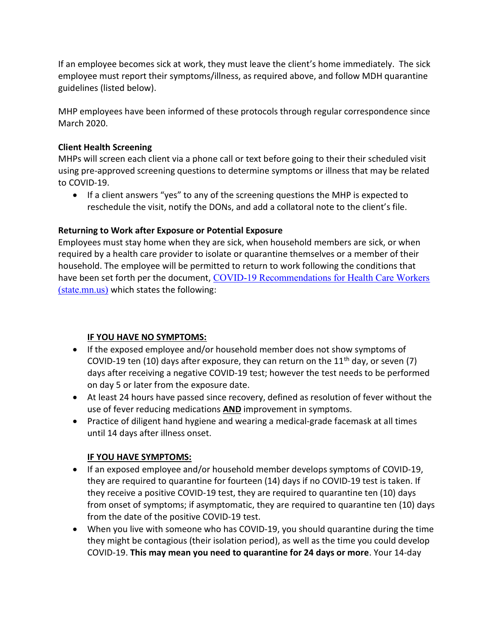If an employee becomes sick at work, they must leave the client's home immediately. The sick employee must report their symptoms/illness, as required above, and follow MDH quarantine guidelines (listed below).

MHP employees have been informed of these protocols through regular correspondence since March 2020.

#### Client Health Screening

MHPs will screen each client via a phone call or text before going to their their scheduled visit using pre-approved screening questions to determine symptoms or illness that may be related to COVID-19.

 If a client answers "yes" to any of the screening questions the MHP is expected to reschedule the visit, notify the DONs, and add a collatoral note to the client's file.

#### Returning to Work after Exposure or Potential Exposure

Employees must stay home when they are sick, when household members are sick, or when required by a health care provider to isolate or quarantine themselves or a member of their household. The employee will be permitted to return to work following the conditions that have been set forth per the document, COVID-19 Recommendations for Health Care Workers (state.mn.us) which states the following:

#### IF YOU HAVE NO SYMPTOMS:

- If the exposed employee and/or household member does not show symptoms of COVID-19 ten (10) days after exposure, they can return on the 11<sup>th</sup> day, or seven (7) days after receiving a negative COVID-19 test; however the test needs to be performed on day 5 or later from the exposure date.
- At least 24 hours have passed since recovery, defined as resolution of fever without the use of fever reducing medications **AND** improvement in symptoms.
- Practice of diligent hand hygiene and wearing a medical-grade facemask at all times until 14 days after illness onset.

#### IF YOU HAVE SYMPTOMS:

- If an exposed employee and/or household member develops symptoms of COVID-19, they are required to quarantine for fourteen (14) days if no COVID-19 test is taken. If they receive a positive COVID-19 test, they are required to quarantine ten (10) days from onset of symptoms; if asymptomatic, they are required to quarantine ten (10) days from the date of the positive COVID-19 test.
- When you live with someone who has COVID-19, you should quarantine during the time they might be contagious (their isolation period), as well as the time you could develop COVID-19. This may mean you need to quarantine for 24 days or more. Your 14-day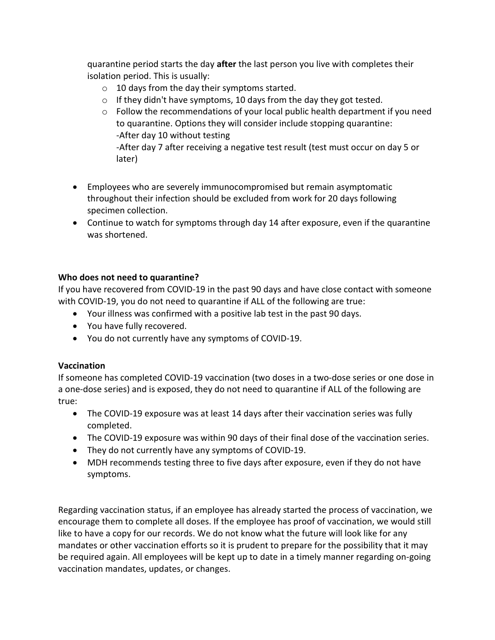quarantine period starts the day after the last person you live with completes their isolation period. This is usually:

- $\circ$  10 days from the day their symptoms started.
- $\circ$  If they didn't have symptoms, 10 days from the day they got tested.
- $\circ$  Follow the recommendations of your local public health department if you need to quarantine. Options they will consider include stopping quarantine: -After day 10 without testing -After day 7 after receiving a negative test result (test must occur on day 5 or later)
- Employees who are severely immunocompromised but remain asymptomatic throughout their infection should be excluded from work for 20 days following specimen collection.
- Continue to watch for symptoms through day 14 after exposure, even if the quarantine was shortened.

#### Who does not need to quarantine?

If you have recovered from COVID-19 in the past 90 days and have close contact with someone with COVID-19, you do not need to quarantine if ALL of the following are true:

- Your illness was confirmed with a positive lab test in the past 90 days.
- You have fully recovered.
- You do not currently have any symptoms of COVID-19.

#### Vaccination

If someone has completed COVID-19 vaccination (two doses in a two-dose series or one dose in a one-dose series) and is exposed, they do not need to quarantine if ALL of the following are true:

- The COVID-19 exposure was at least 14 days after their vaccination series was fully completed.
- The COVID-19 exposure was within 90 days of their final dose of the vaccination series.
- They do not currently have any symptoms of COVID-19.
- MDH recommends testing three to five days after exposure, even if they do not have symptoms.

Regarding vaccination status, if an employee has already started the process of vaccination, we encourage them to complete all doses. If the employee has proof of vaccination, we would still like to have a copy for our records. We do not know what the future will look like for any mandates or other vaccination efforts so it is prudent to prepare for the possibility that it may be required again. All employees will be kept up to date in a timely manner regarding on-going vaccination mandates, updates, or changes.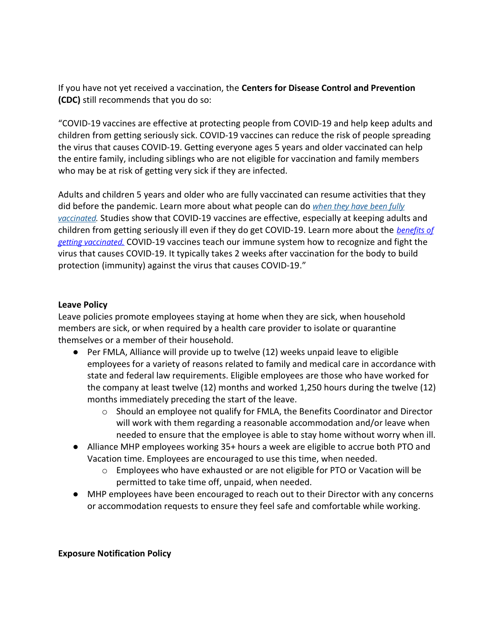If you have not yet received a vaccination, the Centers for Disease Control and Prevention (CDC) still recommends that you do so:

"COVID-19 vaccines are effective at protecting people from COVID-19 and help keep adults and children from getting seriously sick. COVID-19 vaccines can reduce the risk of people spreading the virus that causes COVID-19. Getting everyone ages 5 years and older vaccinated can help the entire family, including siblings who are not eligible for vaccination and family members who may be at risk of getting very sick if they are infected.

Adults and children 5 years and older who are fully vaccinated can resume activities that they did before the pandemic. Learn more about what people can do when they have been fully vaccinated. Studies show that COVID-19 vaccines are effective, especially at keeping adults and children from getting seriously ill even if they do get COVID-19. Learn more about the benefits of getting vaccinated. COVID-19 vaccines teach our immune system how to recognize and fight the virus that causes COVID-19. It typically takes 2 weeks after vaccination for the body to build protection (immunity) against the virus that causes COVID-19."

#### Leave Policy

Leave policies promote employees staying at home when they are sick, when household members are sick, or when required by a health care provider to isolate or quarantine themselves or a member of their household.

- Per FMLA, Alliance will provide up to twelve (12) weeks unpaid leave to eligible employees for a variety of reasons related to family and medical care in accordance with state and federal law requirements. Eligible employees are those who have worked for the company at least twelve (12) months and worked 1,250 hours during the twelve (12) months immediately preceding the start of the leave.
	- $\circ$  Should an employee not qualify for FMLA, the Benefits Coordinator and Director will work with them regarding a reasonable accommodation and/or leave when needed to ensure that the employee is able to stay home without worry when ill.
- Alliance MHP employees working 35+ hours a week are eligible to accrue both PTO and Vacation time. Employees are encouraged to use this time, when needed.
	- $\circ$  Employees who have exhausted or are not eligible for PTO or Vacation will be permitted to take time off, unpaid, when needed.
- MHP employees have been encouraged to reach out to their Director with any concerns or accommodation requests to ensure they feel safe and comfortable while working.

#### Exposure Notification Policy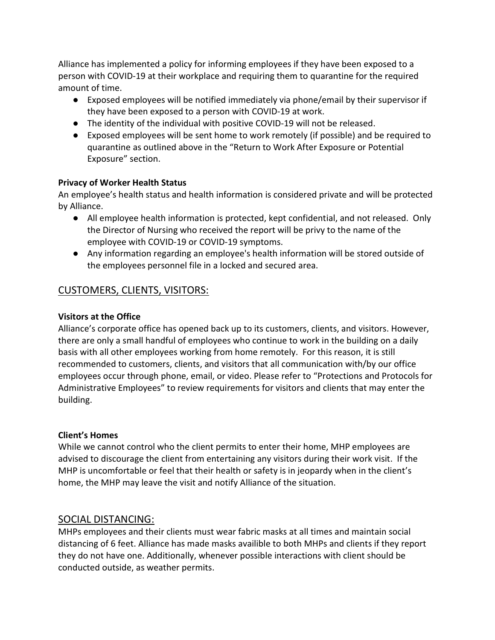Alliance has implemented a policy for informing employees if they have been exposed to a person with COVID-19 at their workplace and requiring them to quarantine for the required amount of time.

- Exposed employees will be notified immediately via phone/email by their supervisor if they have been exposed to a person with COVID-19 at work.
- The identity of the individual with positive COVID-19 will not be released.
- Exposed employees will be sent home to work remotely (if possible) and be required to quarantine as outlined above in the "Return to Work After Exposure or Potential Exposure" section.

#### Privacy of Worker Health Status

An employee's health status and health information is considered private and will be protected by Alliance.

- All employee health information is protected, kept confidential, and not released. Only the Director of Nursing who received the report will be privy to the name of the employee with COVID-19 or COVID-19 symptoms.
- Any information regarding an employee's health information will be stored outside of the employees personnel file in a locked and secured area.

## CUSTOMERS, CLIENTS, VISITORS:

#### Visitors at the Office

Alliance's corporate office has opened back up to its customers, clients, and visitors. However, there are only a small handful of employees who continue to work in the building on a daily basis with all other employees working from home remotely. For this reason, it is still recommended to customers, clients, and visitors that all communication with/by our office employees occur through phone, email, or video. Please refer to "Protections and Protocols for Administrative Employees" to review requirements for visitors and clients that may enter the building.

#### Client's Homes

While we cannot control who the client permits to enter their home, MHP employees are advised to discourage the client from entertaining any visitors during their work visit. If the MHP is uncomfortable or feel that their health or safety is in jeopardy when in the client's home, the MHP may leave the visit and notify Alliance of the situation.

## SOCIAL DISTANCING:

MHPs employees and their clients must wear fabric masks at all times and maintain social distancing of 6 feet. Alliance has made masks availible to both MHPs and clients if they report they do not have one. Additionally, whenever possible interactions with client should be conducted outside, as weather permits.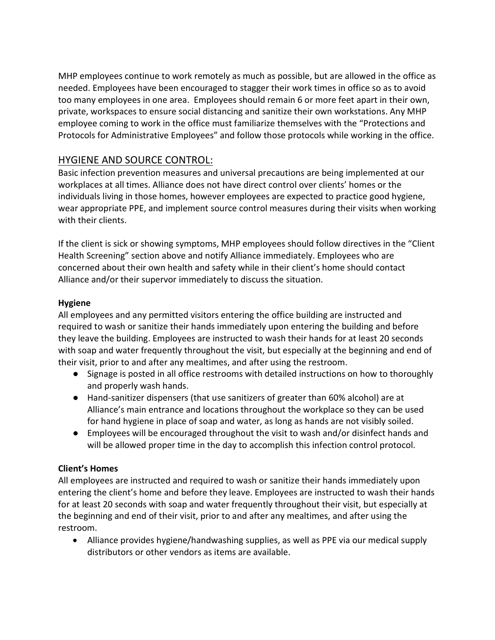MHP employees continue to work remotely as much as possible, but are allowed in the office as needed. Employees have been encouraged to stagger their work times in office so as to avoid too many employees in one area. Employees should remain 6 or more feet apart in their own, private, workspaces to ensure social distancing and sanitize their own workstations. Any MHP employee coming to work in the office must familiarize themselves with the "Protections and Protocols for Administrative Employees" and follow those protocols while working in the office.

## HYGIENE AND SOURCE CONTROL:

Basic infection prevention measures and universal precautions are being implemented at our workplaces at all times. Alliance does not have direct control over clients' homes or the individuals living in those homes, however employees are expected to practice good hygiene, wear appropriate PPE, and implement source control measures during their visits when working with their clients.

If the client is sick or showing symptoms, MHP employees should follow directives in the "Client Health Screening" section above and notify Alliance immediately. Employees who are concerned about their own health and safety while in their client's home should contact Alliance and/or their supervor immediately to discuss the situation.

#### Hygiene

All employees and any permitted visitors entering the office building are instructed and required to wash or sanitize their hands immediately upon entering the building and before they leave the building. Employees are instructed to wash their hands for at least 20 seconds with soap and water frequently throughout the visit, but especially at the beginning and end of their visit, prior to and after any mealtimes, and after using the restroom.

- Signage is posted in all office restrooms with detailed instructions on how to thoroughly and properly wash hands.
- Hand-sanitizer dispensers (that use sanitizers of greater than 60% alcohol) are at Alliance's main entrance and locations throughout the workplace so they can be used for hand hygiene in place of soap and water, as long as hands are not visibly soiled.
- Employees will be encouraged throughout the visit to wash and/or disinfect hands and will be allowed proper time in the day to accomplish this infection control protocol.

## Client's Homes

All employees are instructed and required to wash or sanitize their hands immediately upon entering the client's home and before they leave. Employees are instructed to wash their hands for at least 20 seconds with soap and water frequently throughout their visit, but especially at the beginning and end of their visit, prior to and after any mealtimes, and after using the restroom.

 Alliance provides hygiene/handwashing supplies, as well as PPE via our medical supply distributors or other vendors as items are available.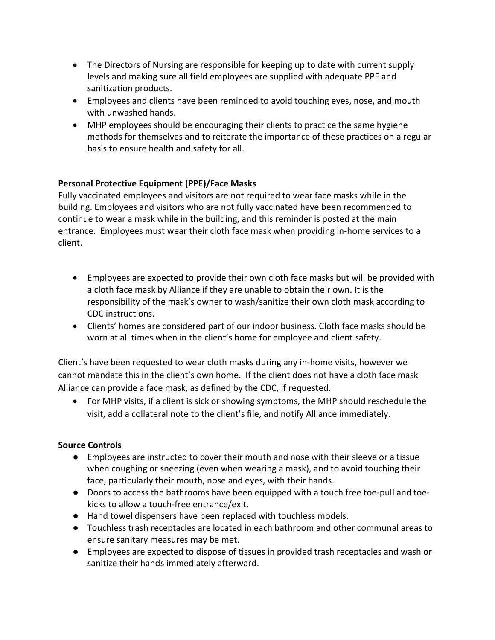- The Directors of Nursing are responsible for keeping up to date with current supply levels and making sure all field employees are supplied with adequate PPE and sanitization products.
- Employees and clients have been reminded to avoid touching eyes, nose, and mouth with unwashed hands.
- MHP employees should be encouraging their clients to practice the same hygiene methods for themselves and to reiterate the importance of these practices on a regular basis to ensure health and safety for all.

#### Personal Protective Equipment (PPE)/Face Masks

Fully vaccinated employees and visitors are not required to wear face masks while in the building. Employees and visitors who are not fully vaccinated have been recommended to continue to wear a mask while in the building, and this reminder is posted at the main entrance. Employees must wear their cloth face mask when providing in-home services to a client.

- Employees are expected to provide their own cloth face masks but will be provided with a cloth face mask by Alliance if they are unable to obtain their own. It is the responsibility of the mask's owner to wash/sanitize their own cloth mask according to CDC instructions.
- Clients' homes are considered part of our indoor business. Cloth face masks should be worn at all times when in the client's home for employee and client safety.

Client's have been requested to wear cloth masks during any in-home visits, however we cannot mandate this in the client's own home. If the client does not have a cloth face mask Alliance can provide a face mask, as defined by the CDC, if requested.

 For MHP visits, if a client is sick or showing symptoms, the MHP should reschedule the visit, add a collateral note to the client's file, and notify Alliance immediately.

#### Source Controls

- Employees are instructed to cover their mouth and nose with their sleeve or a tissue when coughing or sneezing (even when wearing a mask), and to avoid touching their face, particularly their mouth, nose and eyes, with their hands.
- Doors to access the bathrooms have been equipped with a touch free toe-pull and toekicks to allow a touch-free entrance/exit.
- Hand towel dispensers have been replaced with touchless models.
- Touchless trash receptacles are located in each bathroom and other communal areas to ensure sanitary measures may be met.
- Employees are expected to dispose of tissues in provided trash receptacles and wash or sanitize their hands immediately afterward.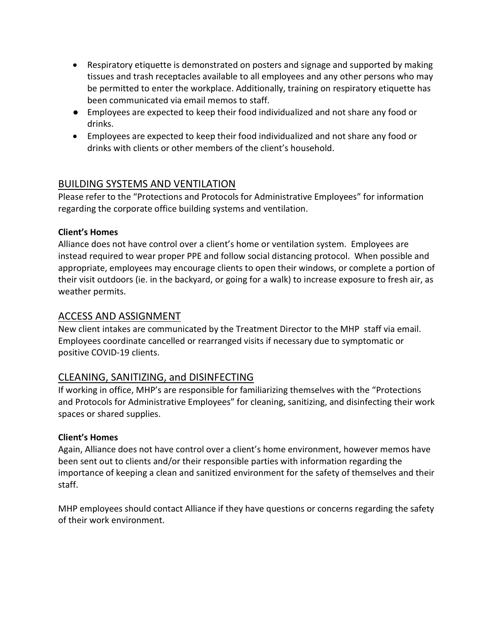- Respiratory etiquette is demonstrated on posters and signage and supported by making tissues and trash receptacles available to all employees and any other persons who may be permitted to enter the workplace. Additionally, training on respiratory etiquette has been communicated via email memos to staff.
- Employees are expected to keep their food individualized and not share any food or drinks.
- Employees are expected to keep their food individualized and not share any food or drinks with clients or other members of the client's household.

## BUILDING SYSTEMS AND VENTILATION

Please refer to the "Protections and Protocols for Administrative Employees" for information regarding the corporate office building systems and ventilation.

#### Client's Homes

Alliance does not have control over a client's home or ventilation system. Employees are instead required to wear proper PPE and follow social distancing protocol. When possible and appropriate, employees may encourage clients to open their windows, or complete a portion of their visit outdoors (ie. in the backyard, or going for a walk) to increase exposure to fresh air, as weather permits.

## ACCESS AND ASSIGNMENT

New client intakes are communicated by the Treatment Director to the MHP staff via email. Employees coordinate cancelled or rearranged visits if necessary due to symptomatic or positive COVID-19 clients.

## CLEANING, SANITIZING, and DISINFECTING

If working in office, MHP's are responsible for familiarizing themselves with the "Protections and Protocols for Administrative Employees" for cleaning, sanitizing, and disinfecting their work spaces or shared supplies.

#### Client's Homes

Again, Alliance does not have control over a client's home environment, however memos have been sent out to clients and/or their responsible parties with information regarding the importance of keeping a clean and sanitized environment for the safety of themselves and their staff.

MHP employees should contact Alliance if they have questions or concerns regarding the safety of their work environment.